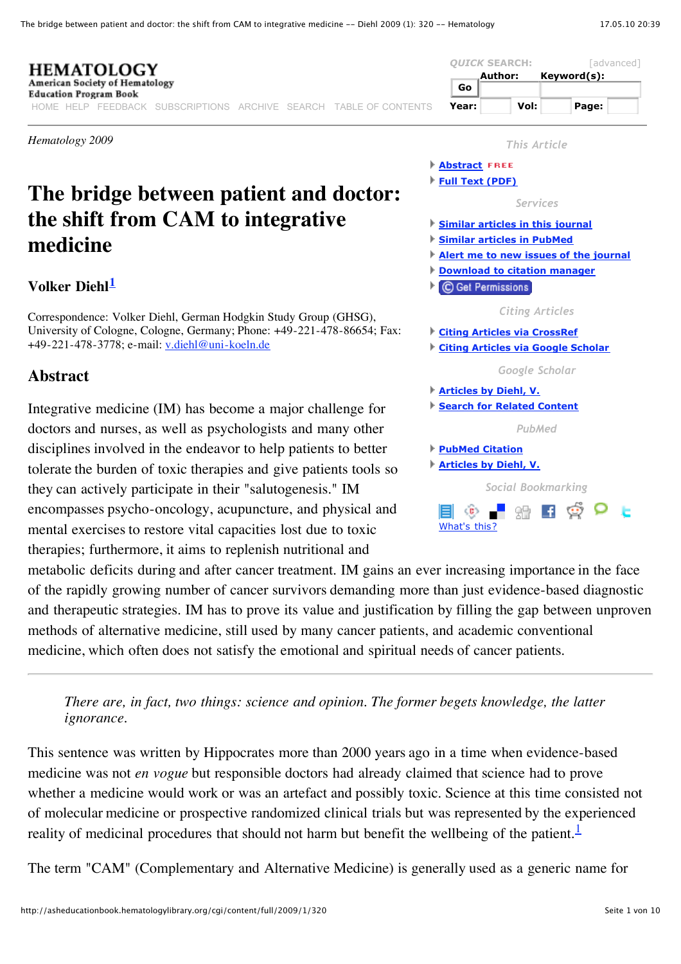| <b>HEMATOLOGY</b>                                                      |       | <i>OUICK SEARCH:</i><br>.Author: | advanced  <br>Keyword(s): |
|------------------------------------------------------------------------|-------|----------------------------------|---------------------------|
| <b>American Society of Hematology</b><br><b>Education Program Book</b> | Go    |                                  |                           |
| HOME HELP FEEDBACK SUBSCRIPTIONS ARCHIVE SEARCH TABLE OF CONTENTS      | Year: | Vol:                             | Page:                     |

*Hematology 2009*

# **The bridge between patient and doctor: the shift from CAM to integrative medicine**

## **Volker Diehl[1](http://asheducationbook.hematologylibrary.org/cgi/content/full/2009/1/320#FN1)**

Correspondence: Volker Diehl, German Hodgkin Study Group (GHSG), University of Cologne, Cologne, Germany; Phone: +49-221-478-86654; Fa +49-221-478-3778; e-mail: [v.diehl@uni-koeln.de](mailto:v.diehl@uni-koeln.de)

### **Abstract**

Integrative medicine (IM) has become a major challenge for doctors and nurses, as well as psychologists and many other disciplines involved in the endeavor to help patients to better tolerate the burden of toxic therapies and give patients tools so they can actively participate in their "salutogenesis." IM encompasses psycho-oncology, acupuncture, and physical and mental exercises to restore vital capacities lost due to toxic therapies; furthermore, it aims to replenish nutritional and

|     | This Article                              |
|-----|-------------------------------------------|
|     | <b>Abstract FREE</b>                      |
|     | Full Text (PDF)                           |
|     | Services                                  |
|     | Similar articles in this journal          |
|     | <b>Similar articles in PubMed</b>         |
|     | Alert me to new issues of the journal     |
|     | <b>Download to citation manager</b>       |
|     | C Get Permissions                         |
|     | Citing Articles                           |
| IX: | <b>Citing Articles via CrossRef</b>       |
|     | <b>Citing Articles via Google Scholar</b> |
|     | Google Scholar                            |
|     | <b>Articles by Diehl, V.</b>              |
|     | Search for Related Content                |
|     | PubMed                                    |
|     | <b>PubMed Citation</b>                    |
| O   | <b>Articles by Diehl, V.</b>              |
|     | Social Bookmarking                        |
| d   | BI ◈ - ₩ EI © ?<br>What's this?           |

metabolic deficits during and after cancer treatment. IM gains an ever increasing importance in the face of the rapidly growing number of cancer survivors demanding more than just evidence-based diagnostic and therapeutic strategies. IM has to prove its value and justification by filling the gap between unproven methods of alternative medicine, still used by many cancer patients, and academic conventional medicine, which often does not satisfy the emotional and spiritual needs of cancer patients.

*There are, in fact, two things: science and opinion. The former begets knowledge, the latter ignorance.*

This sentence was written by Hippocrates more than 2000 years ago in a time when evidence-based medicine was not *en vogue* but responsible doctors had already claimed that science had to prove whether a medicine would work or was an artefact and possibly toxic. Science at this time consisted not of molecular medicine or prospective randomized clinical trials but was represented by the experienced reality of medicinal procedures that should not harm but benefit the wellbeing of the patient.<sup>[1](http://asheducationbook.hematologylibrary.org/cgi/content/full/2009/1/320#R1)</sup>

The term "CAM" (Complementary and Alternative Medicine) is generally used as a generic name for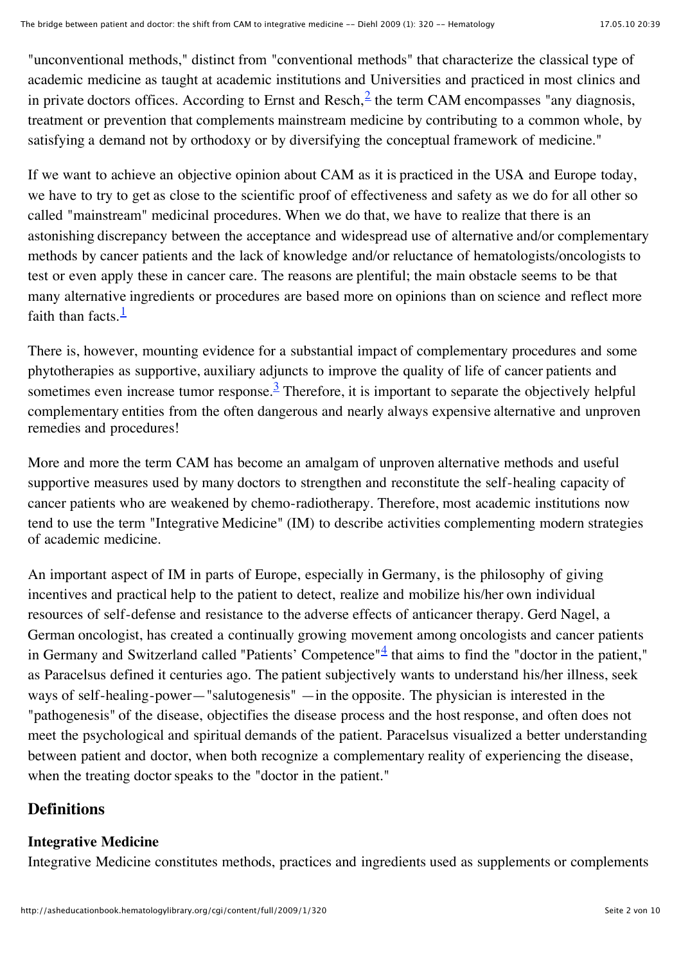"unconventional methods," distinct from "conventional methods" that characterize the classical type of academic medicine as taught at academic institutions and Universities and practiced in most clinics and in private doctors offices. According to Ernst and Resch,  $\frac{2}{3}$  $\frac{2}{3}$  $\frac{2}{3}$  the term CAM encompasses "any diagnosis, treatment or prevention that complements mainstream medicine by contributing to a common whole, by satisfying a demand not by orthodoxy or by diversifying the conceptual framework of medicine."

If we want to achieve an objective opinion about CAM as it is practiced in the USA and Europe today, we have to try to get as close to the scientific proof of effectiveness and safety as we do for all other so called "mainstream" medicinal procedures. When we do that, we have to realize that there is an astonishing discrepancy between the acceptance and widespread use of alternative and/or complementary methods by cancer patients and the lack of knowledge and/or reluctance of hematologists/oncologists to test or even apply these in cancer care. The reasons are plentiful; the main obstacle seems to be that many alternative ingredients or procedures are based more on opinions than on science and reflect more faith than facts. $\frac{1}{1}$  $\frac{1}{1}$  $\frac{1}{1}$ 

There is, however, mounting evidence for a substantial impact of complementary procedures and some phytotherapies as supportive, auxiliary adjuncts to improve the quality of life of cancer patients and sometimes even increase tumor response. $\frac{3}{5}$  $\frac{3}{5}$  $\frac{3}{5}$  Therefore, it is important to separate the objectively helpful complementary entities from the often dangerous and nearly always expensive alternative and unproven remedies and procedures!

More and more the term CAM has become an amalgam of unproven alternative methods and useful supportive measures used by many doctors to strengthen and reconstitute the self-healing capacity of cancer patients who are weakened by chemo-radiotherapy. Therefore, most academic institutions now tend to use the term "Integrative Medicine" (IM) to describe activities complementing modern strategies of academic medicine.

An important aspect of IM in parts of Europe, especially in Germany, is the philosophy of giving incentives and practical help to the patient to detect, realize and mobilize his/her own individual resources of self-defense and resistance to the adverse effects of anticancer therapy. Gerd Nagel, a German oncologist, has created a continually growing movement among oncologists and cancer patients in Germany and Switzerland called "Patients' Competence" $\frac{4}{5}$  that aims to find the "doctor in the patient," as Paracelsus defined it centuries ago. The patient subjectively wants to understand his/her illness, seek ways of self-healing-power—"salutogenesis" —in the opposite. The physician is interested in the "pathogenesis" of the disease, objectifies the disease process and the host response, and often does not meet the psychological and spiritual demands of the patient. Paracelsus visualized a better understanding between patient and doctor, when both recognize a complementary reality of experiencing the disease, when the treating doctor speaks to the "doctor in the patient."

## **Definitions**

## **Integrative Medicine**

Integrative Medicine constitutes methods, practices and ingredients used as supplements or complements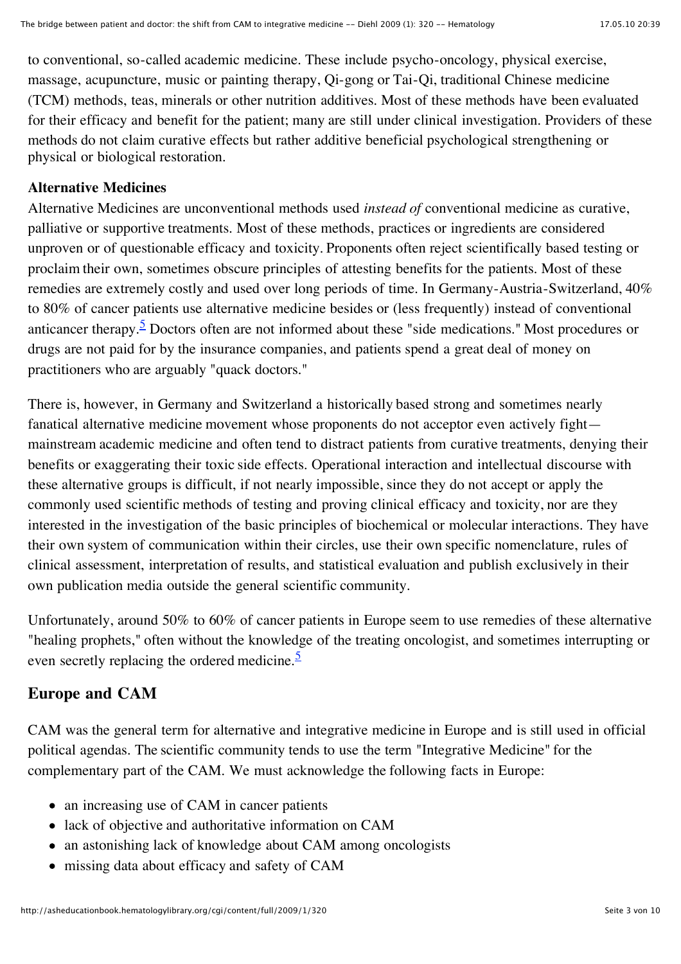to conventional, so-called academic medicine. These include psycho-oncology, physical exercise, massage, acupuncture, music or painting therapy, Qi-gong or Tai-Qi, traditional Chinese medicine (TCM) methods, teas, minerals or other nutrition additives. Most of these methods have been evaluated for their efficacy and benefit for the patient; many are still under clinical investigation. Providers of these methods do not claim curative effects but rather additive beneficial psychological strengthening or physical or biological restoration.

### **Alternative Medicines**

Alternative Medicines are unconventional methods used *instead of* conventional medicine as curative, palliative or supportive treatments. Most of these methods, practices or ingredients are considered unproven or of questionable efficacy and toxicity. Proponents often reject scientifically based testing or proclaim their own, sometimes obscure principles of attesting benefits for the patients. Most of these remedies are extremely costly and used over long periods of time. In Germany-Austria-Switzerland, 40% to 80% of cancer patients use alternative medicine besides or (less frequently) instead of conventional anticancer therapy.<sup>5</sup> Doctors often are not informed about these "side medications." Most procedures or drugs are not paid for by the insurance companies, and patients spend a great deal of money on practitioners who are arguably "quack doctors."

There is, however, in Germany and Switzerland a historically based strong and sometimes nearly fanatical alternative medicine movement whose proponents do not acceptor even actively fight mainstream academic medicine and often tend to distract patients from curative treatments, denying their benefits or exaggerating their toxic side effects. Operational interaction and intellectual discourse with these alternative groups is difficult, if not nearly impossible, since they do not accept or apply the commonly used scientific methods of testing and proving clinical efficacy and toxicity, nor are they interested in the investigation of the basic principles of biochemical or molecular interactions. They have their own system of communication within their circles, use their own specific nomenclature, rules of clinical assessment, interpretation of results, and statistical evaluation and publish exclusively in their own publication media outside the general scientific community.

Unfortunately, around 50% to 60% of cancer patients in Europe seem to use remedies of these alternative "healing prophets," often without the knowledge of the treating oncologist, and sometimes interrupting or even secretly replacing the ordered medicine. $\frac{5}{5}$  $\frac{5}{5}$  $\frac{5}{5}$ 

## **Europe and CAM**

CAM was the general term for alternative and integrative medicine in Europe and is still used in official political agendas. The scientific community tends to use the term "Integrative Medicine" for the complementary part of the CAM. We must acknowledge the following facts in Europe:

- an increasing use of CAM in cancer patients
- lack of objective and authoritative information on CAM
- an astonishing lack of knowledge about CAM among oncologists
- missing data about efficacy and safety of CAM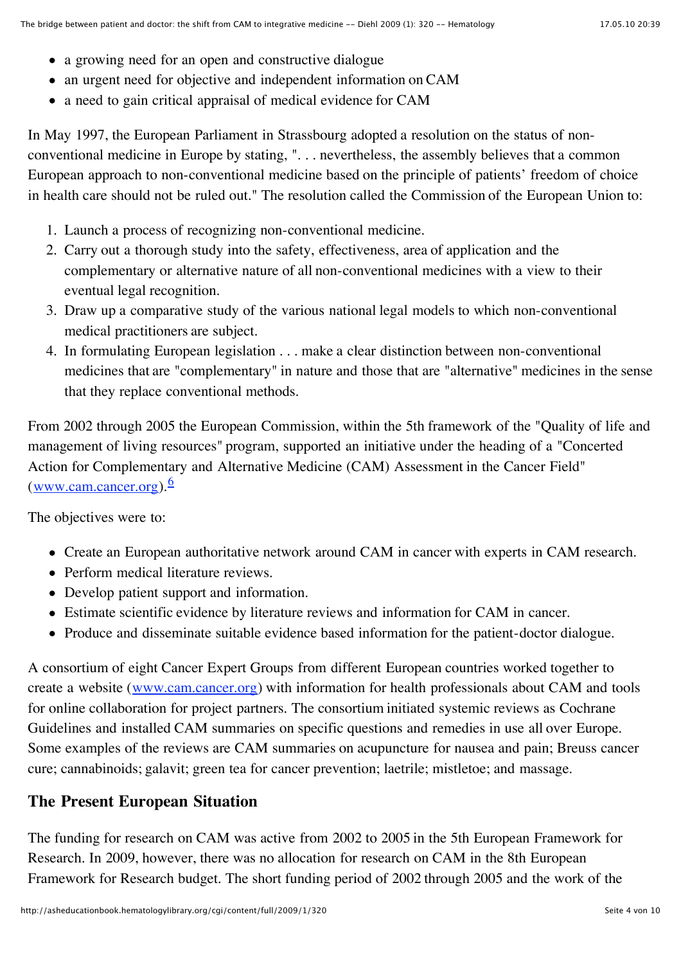- a growing need for an open and constructive dialogue
- an urgent need for objective and independent information on CAM
- a need to gain critical appraisal of medical evidence for CAM

In May 1997, the European Parliament in Strassbourg adopted a resolution on the status of nonconventional medicine in Europe by stating, ". . . nevertheless, the assembly believes that a common European approach to non-conventional medicine based on the principle of patients' freedom of choice in health care should not be ruled out." The resolution called the Commission of the European Union to:

- 1. Launch a process of recognizing non-conventional medicine.
- 2. Carry out a thorough study into the safety, effectiveness, area of application and the complementary or alternative nature of all non-conventional medicines with a view to their eventual legal recognition.
- 3. Draw up a comparative study of the various national legal models to which non-conventional medical practitioners are subject.
- 4. In formulating European legislation . . . make a clear distinction between non-conventional medicines that are "complementary" in nature and those that are "alternative" medicines in the sense that they replace conventional methods.

From 2002 through 2005 the European Commission, within the 5th framework of the "Quality of life and management of living resources" program, supported an initiative under the heading of a "Concerted Action for Complementary and Alternative Medicine (CAM) Assessment in the Cancer Field"  $(www.cam.cancer.org).<sup>6</sup>$  $(www.cam.cancer.org).<sup>6</sup>$  $(www.cam.cancer.org).<sup>6</sup>$  $(www.cam.cancer.org).<sup>6</sup>$  $(www.cam.cancer.org).<sup>6</sup>$ 

The objectives were to:

- Create an European authoritative network around CAM in cancer with experts in CAM research.
- Perform medical literature reviews.
- Develop patient support and information.
- Estimate scientific evidence by literature reviews and information for CAM in cancer.
- Produce and disseminate suitable evidence based information for the patient-doctor dialogue.

A consortium of eight Cancer Expert Groups from different European countries worked together to create a website ([www.cam.cancer.org](http://www.cam.cancer.org/)) with information for health professionals about CAM and tools for online collaboration for project partners. The consortium initiated systemic reviews as Cochrane Guidelines and installed CAM summaries on specific questions and remedies in use all over Europe. Some examples of the reviews are CAM summaries on acupuncture for nausea and pain; Breuss cancer cure; cannabinoids; galavit; green tea for cancer prevention; laetrile; mistletoe; and massage.

## **The Present European Situation**

The funding for research on CAM was active from 2002 to 2005 in the 5th European Framework for Research. In 2009, however, there was no allocation for research on CAM in the 8th European Framework for Research budget. The short funding period of 2002 through 2005 and the work of the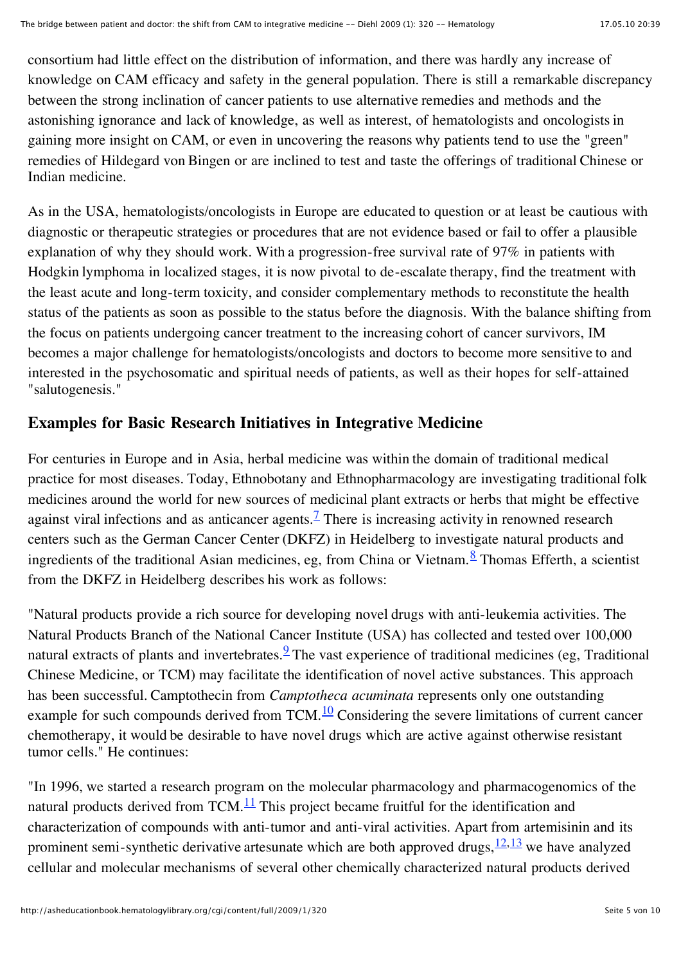consortium had little effect on the distribution of information, and there was hardly any increase of knowledge on CAM efficacy and safety in the general population. There is still a remarkable discrepancy between the strong inclination of cancer patients to use alternative remedies and methods and the astonishing ignorance and lack of knowledge, as well as interest, of hematologists and oncologists in gaining more insight on CAM, or even in uncovering the reasons why patients tend to use the "green" remedies of Hildegard von Bingen or are inclined to test and taste the offerings of traditional Chinese or Indian medicine.

As in the USA, hematologists/oncologists in Europe are educated to question or at least be cautious with diagnostic or therapeutic strategies or procedures that are not evidence based or fail to offer a plausible explanation of why they should work. With a progression-free survival rate of 97% in patients with Hodgkin lymphoma in localized stages, it is now pivotal to de-escalate therapy, find the treatment with the least acute and long-term toxicity, and consider complementary methods to reconstitute the health status of the patients as soon as possible to the status before the diagnosis. With the balance shifting from the focus on patients undergoing cancer treatment to the increasing cohort of cancer survivors, IM becomes a major challenge for hematologists/oncologists and doctors to become more sensitive to and interested in the psychosomatic and spiritual needs of patients, as well as their hopes for self-attained "salutogenesis."

## **Examples for Basic Research Initiatives in Integrative Medicine**

For centuries in Europe and in Asia, herbal medicine was within the domain of traditional medical practice for most diseases. Today, Ethnobotany and Ethnopharmacology are investigating traditional folk medicines around the world for new sources of medicinal plant extracts or herbs that might be effective against viral infections and as anticancer agents.<sup> $7$ </sup> There is increasing activity in renowned research centers such as the German Cancer Center (DKFZ) in Heidelberg to investigate natural products and ingredients of the traditional Asian medicines, eg, from China or Vietnam.<sup>[8](http://asheducationbook.hematologylibrary.org/cgi/content/full/2009/1/320#R8)</sup> Thomas Efferth, a scientist from the DKFZ in Heidelberg describes his work as follows:

"Natural products provide a rich source for developing novel drugs with anti-leukemia activities. The Natural Products Branch of the National Cancer Institute (USA) has collected and tested over 100,000 natural extracts of plants and invertebrates. $\frac{9}{5}$  $\frac{9}{5}$  $\frac{9}{5}$  The vast experience of traditional medicines (eg, Traditional Chinese Medicine, or TCM) may facilitate the identification of novel active substances. This approach has been successful. Camptothecin from *Camptotheca acuminata* represents only one outstanding example for such compounds derived from TCM.<sup>10</sup> Considering the severe limitations of current cancer chemotherapy, it would be desirable to have novel drugs which are active against otherwise resistant tumor cells." He continues:

"In 1996, we started a research program on the molecular pharmacology and pharmacogenomics of the natural products derived from TCM. $\frac{11}{11}$  This project became fruitful for the identification and characterization of compounds with anti-tumor and anti-viral activities. Apart from artemisinin and its prominent semi-synthetic derivative artesunate which are both approved drugs, $\frac{12,13}{2}$  $\frac{12,13}{2}$  $\frac{12,13}{2}$  $\frac{12,13}{2}$  we have analyzed cellular and molecular mechanisms of several other chemically characterized natural products derived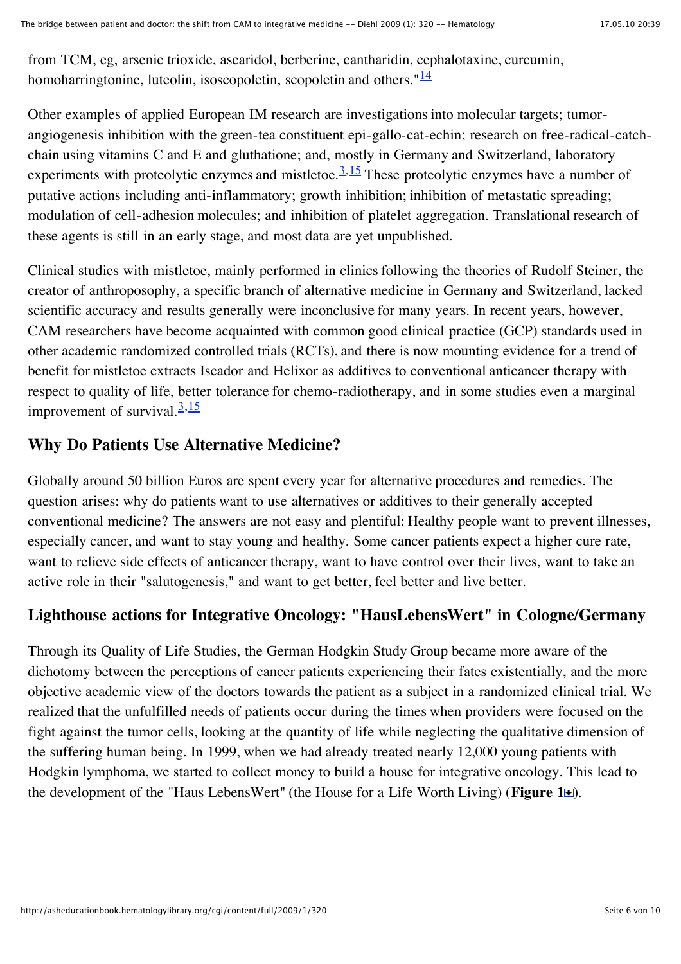from TCM, eg, arsenic trioxide, ascaridol, berberine, cantharidin, cephalotaxine, curcumin, homoharringtonine, luteolin, isoscopoletin, scopoletin and others.  $14$ 

Other examples of applied European IM research are investigationsinto molecular targets; tumorangiogenesis inhibition with the green-tea constituent epi-gallo-cat-echin; research on free-radical-catchchain using vitamins C and E and gluthatione; and, mostly in Germany and Switzerland, laboratory experiments with proteolytic enzymes and mistletoe.<sup>[3,](http://asheducationbook.hematologylibrary.org/cgi/content/full/2009/1/320#R3)[15](http://asheducationbook.hematologylibrary.org/cgi/content/full/2009/1/320#R15)</sup> These proteolytic enzymes have a number of putative actions including anti-inflammatory; growth inhibition; inhibition of metastatic spreading; modulation of cell-adhesion molecules; and inhibition of platelet aggregation. Translational research of these agents is still in an early stage, and most data are yet unpublished.

Clinical studies with mistletoe, mainly performed in clinics following the theories of Rudolf Steiner, the creator of anthroposophy, a specific branch of alternative medicine in Germany and Switzerland, lacked scientific accuracy and results generally were inconclusive for many years. In recent years, however, CAM researchers have become acquainted with common good clinical practice (GCP) standards used in other academic randomized controlled trials (RCTs), and there is now mounting evidence for a trend of benefit for mistletoe extracts Iscador and Helixor as additives to conventional anticancer therapy with respect to quality of life, better tolerance for chemo-radiotherapy, and in some studies even a marginal improvement of survival. $\frac{3}{15}$  $\frac{3}{15}$  $\frac{3}{15}$  $\frac{3}{15}$  $\frac{3}{15}$ 

## **Why Do Patients Use Alternative Medicine?**

Globally around 50 billion Euros are spent every year for alternative procedures and remedies. The question arises: why do patients want to use alternatives or additives to their generally accepted conventional medicine? The answers are not easy and plentiful: Healthy people want to prevent illnesses, especially cancer, and want to stay young and healthy. Some cancer patients expect a higher cure rate, want to relieve side effects of anticancer therapy, want to have control over their lives, want to take an active role in their "salutogenesis," and want to get better, feel better and live better.

## **Lighthouse actions for Integrative Oncology: "HausLebensWert" in Cologne/Germany**

Through its Quality of Life Studies, the German Hodgkin Study Group became more aware of the dichotomy between the perceptions of cancer patients experiencing their fates existentially, and the more objective academic view of the doctors towards the patient as a subject in a randomized clinical trial. We realized that the unfulfilled needs of patients occur during the times when providers were focused on the fight against the tumor cells, looking at the quantity of life while neglecting the qualitative dimension of the suffering human being. In 1999, when we had already treated nearly 12,000 young patients with Hodgkin lymphoma, we started to collect money to build a house for integrative oncology. This lead to the development of the "Haus LebensWert" (the House for a Life Worth Living) (**Figure [1](http://asheducationbook.hematologylibrary.org/cgi/content/full/2009/1/320#F1)** ).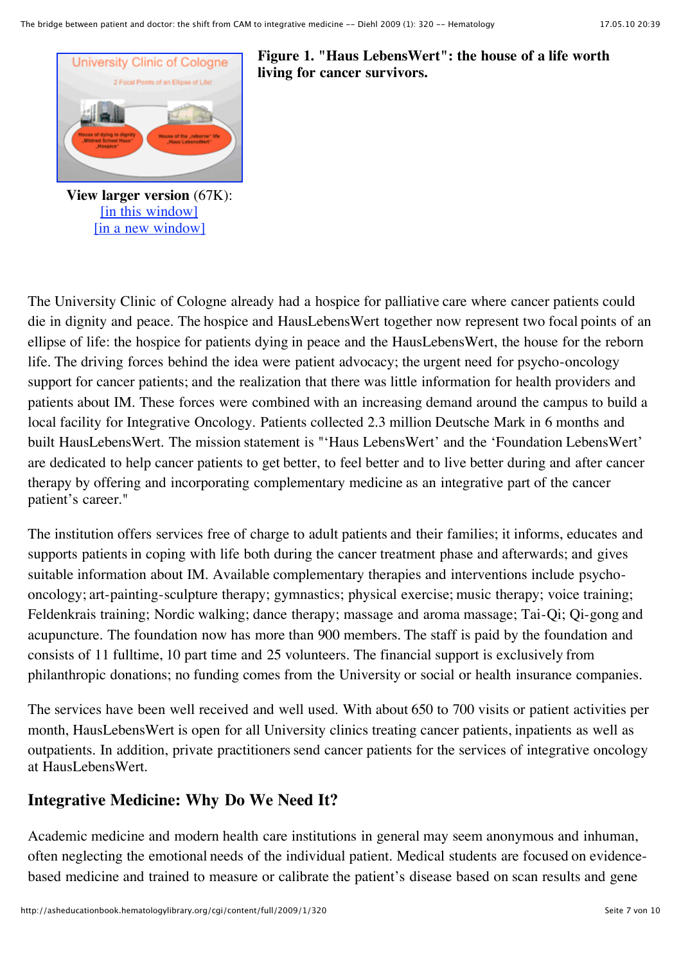

**View larger version** (67K): [\[in this window\]](http://asheducationbook.hematologylibrary.org/cgi/content/full/2009/1/320/F1) [\[in a new window\]](http://asheducationbook.hematologylibrary.org/cgi/content-nw/full/2009/1/320/F1)

### **Figure 1. "Haus LebensWert": the house of a life worth living for cancer survivors.**

The University Clinic of Cologne already had a hospice for palliative care where cancer patients could die in dignity and peace. The hospice and HausLebensWert together now represent two focal points of an ellipse of life: the hospice for patients dying in peace and the HausLebensWert, the house for the reborn life. The driving forces behind the idea were patient advocacy; the urgent need for psycho-oncology support for cancer patients; and the realization that there was little information for health providers and patients about IM. These forces were combined with an increasing demand around the campus to build a local facility for Integrative Oncology. Patients collected 2.3 million Deutsche Mark in 6 months and built HausLebensWert. The mission statement is "'Haus LebensWert' and the 'Foundation LebensWert' are dedicated to help cancer patients to get better, to feel better and to live better during and after cancer therapy by offering and incorporating complementary medicine as an integrative part of the cancer patient's career."

The institution offers services free of charge to adult patients and their families; it informs, educates and supports patients in coping with life both during the cancer treatment phase and afterwards; and gives suitable information about IM. Available complementary therapies and interventions include psychooncology; art-painting-sculpture therapy; gymnastics; physical exercise; music therapy; voice training; Feldenkrais training; Nordic walking; dance therapy; massage and aroma massage; Tai-Qi; Qi-gong and acupuncture. The foundation now has more than 900 members. The staff is paid by the foundation and consists of 11 fulltime, 10 part time and 25 volunteers. The financial support is exclusively from philanthropic donations; no funding comes from the University or social or health insurance companies.

The services have been well received and well used. With about 650 to 700 visits or patient activities per month, HausLebensWert is open for all University clinics treating cancer patients, inpatients as well as outpatients. In addition, private practitioners send cancer patients for the services of integrative oncology at HausLebensWert.

## **Integrative Medicine: Why Do We Need It?**

Academic medicine and modern health care institutions in general may seem anonymous and inhuman, often neglecting the emotional needs of the individual patient. Medical students are focused on evidencebased medicine and trained to measure or calibrate the patient's disease based on scan results and gene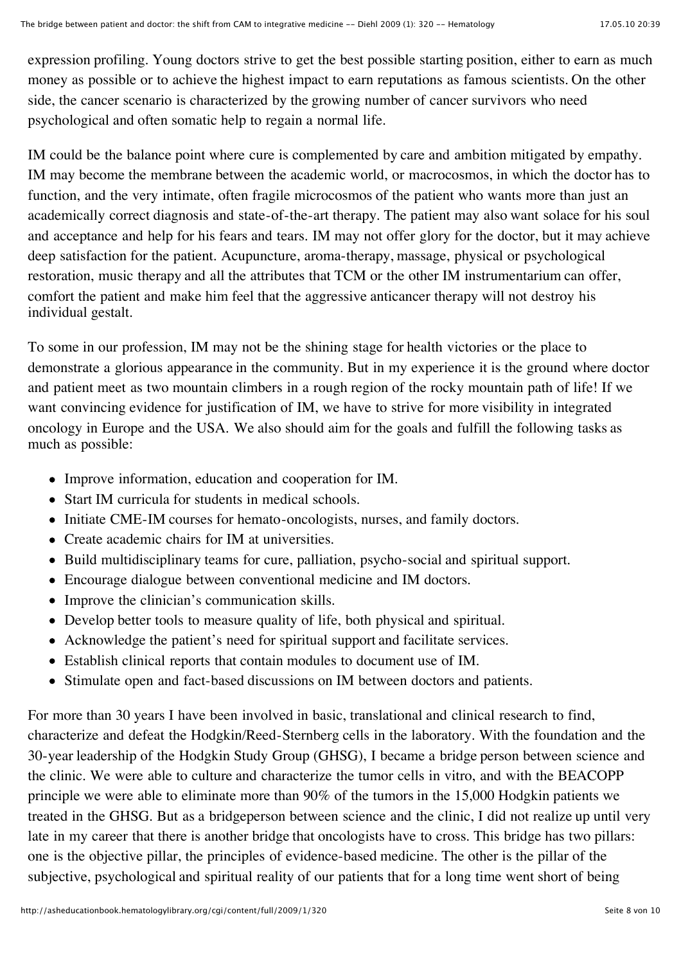expression profiling. Young doctors strive to get the best possible starting position, either to earn as much money as possible or to achieve the highest impact to earn reputations as famous scientists. On the other side, the cancer scenario is characterized by the growing number of cancer survivors who need psychological and often somatic help to regain a normal life.

IM could be the balance point where cure is complemented by care and ambition mitigated by empathy. IM may become the membrane between the academic world, or macrocosmos, in which the doctor has to function, and the very intimate, often fragile microcosmos of the patient who wants more than just an academically correct diagnosis and state-of-the-art therapy. The patient may also want solace for his soul and acceptance and help for his fears and tears. IM may not offer glory for the doctor, but it may achieve deep satisfaction for the patient. Acupuncture, aroma-therapy, massage, physical or psychological restoration, music therapy and all the attributes that TCM or the other IM instrumentarium can offer, comfort the patient and make him feel that the aggressive anticancer therapy will not destroy his individual gestalt.

To some in our profession, IM may not be the shining stage for health victories or the place to demonstrate a glorious appearance in the community. But in my experience it is the ground where doctor and patient meet as two mountain climbers in a rough region of the rocky mountain path of life! If we want convincing evidence for justification of IM, we have to strive for more visibility in integrated oncology in Europe and the USA. We also should aim for the goals and fulfill the following tasks as much as possible:

- Improve information, education and cooperation for IM.
- Start IM curricula for students in medical schools.
- Initiate CME-IM courses for hemato-oncologists, nurses, and family doctors.
- Create academic chairs for IM at universities.
- Build multidisciplinary teams for cure, palliation, psycho-social and spiritual support.
- Encourage dialogue between conventional medicine and IM doctors.
- Improve the clinician's communication skills.
- Develop better tools to measure quality of life, both physical and spiritual.
- Acknowledge the patient's need for spiritual support and facilitate services.
- Establish clinical reports that contain modules to document use of IM.
- Stimulate open and fact-based discussions on IM between doctors and patients.

For more than 30 years I have been involved in basic, translational and clinical research to find, characterize and defeat the Hodgkin/Reed-Sternberg cells in the laboratory. With the foundation and the 30-year leadership of the Hodgkin Study Group (GHSG), I became a bridge person between science and the clinic. We were able to culture and characterize the tumor cells in vitro, and with the BEACOPP principle we were able to eliminate more than 90% of the tumors in the 15,000 Hodgkin patients we treated in the GHSG. But as a bridgeperson between science and the clinic, I did not realize up until very late in my career that there is another bridge that oncologists have to cross. This bridge has two pillars: one is the objective pillar, the principles of evidence-based medicine. The other is the pillar of the subjective, psychological and spiritual reality of our patients that for a long time went short of being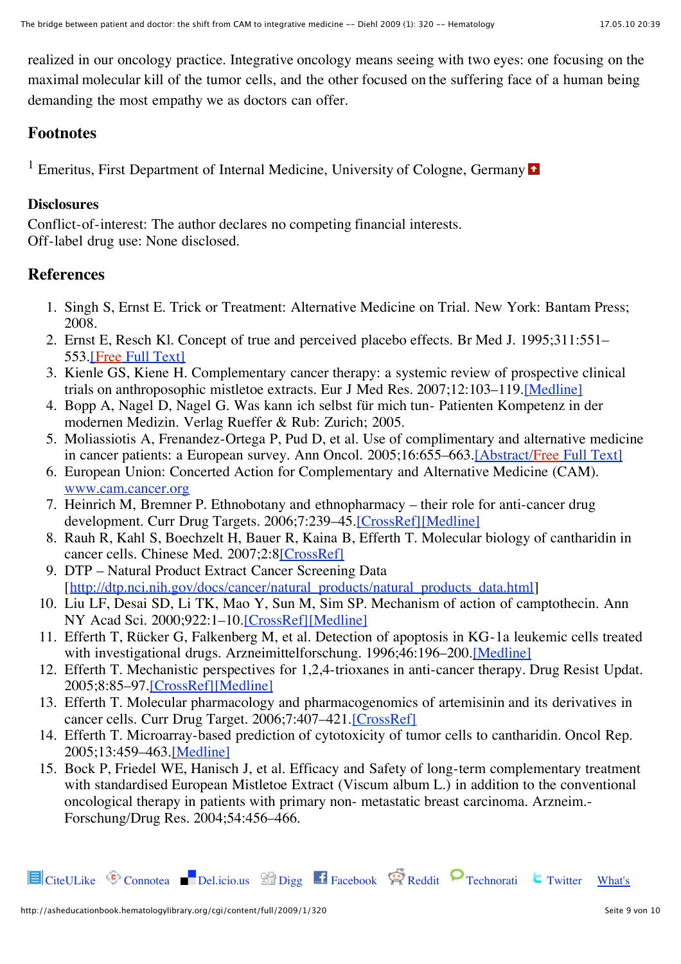realized in our oncology practice. Integrative oncology means seeing with two eyes: one focusing on the maximal molecular kill of the tumor cells, and the other focused on the suffering face of a human being demanding the most empathy we as doctors can offer.

### **Footnotes**

<sup>1</sup> Emeritus, First Department of Internal Medicine, University of Cologne, Germany  $\bullet$ 

### **Disclosures**

Conflict-of-interest: The author declares no competing financial interests. Off-label drug use: None disclosed.

### **References**

- 1. Singh S, Ernst E. Trick or Treatment: Alternative Medicine on Trial. New York: Bantam Press; 2008.
- 2. Ernst E, Resch Kl. Concept of true and perceived placebo effects. Br Med J. 1995;311:551– 553.[\[Free Full Text\]](http://asheducationbook.hematologylibrary.org/cgi/ijlink?linkType=FULL&journalCode=bmj&resid=311/7004/551)
- 3. Kienle GS, Kiene H. Complementary cancer therapy: a systemic review of prospective clinical trials on anthroposophic mistletoe extracts. Eur J Med Res. 2007;12:103–119.[\[Medline\]](http://asheducationbook.hematologylibrary.org/cgi/external_ref?access_num=17507307&link_type=MED)
- 4. Bopp A, Nagel D, Nagel G. Was kann ich selbst für mich tun- Patienten Kompetenz in der modernen Medizin. Verlag Rueffer & Rub: Zurich; 2005.
- 5. Moliassiotis A, Frenandez-Ortega P, Pud D, et al. Use of complimentary and alternative medicine in cancer patients: a European survey. Ann Oncol. 2005;16:655–663.[\[Abstract/Free Full Text\]](http://asheducationbook.hematologylibrary.org/cgi/ijlink?linkType=ABST&journalCode=annonc&resid=16/4/655)
- 6. European Union: Concerted Action for Complementary and Alternative Medicine (CAM). [www.cam.cancer.org](http://www.cam.cancer.org/)
- 7. Heinrich M, Bremner P. Ethnobotany and ethnopharmacy their role for anti-cancer drug development. Curr Drug Targets. 2006;7:239–45[.\[CrossRef\]](http://asheducationbook.hematologylibrary.org/cgi/external_ref?access_num=10.2174%2F138945006776054988&link_type=DOI)[\[Medline\]](http://asheducationbook.hematologylibrary.org/cgi/external_ref?access_num=16515525&link_type=MED)
- 8. Rauh R, Kahl S, Boechzelt H, Bauer R, Kaina B, Efferth T. Molecular biology of cantharidin in cancer cells. Chinese Med. 2007;2:[8\[CrossRef\]](http://asheducationbook.hematologylibrary.org/cgi/external_ref?access_num=10.1186%2F1749-8546-2-8&link_type=DOI)
- 9. DTP Natural Product Extract Cancer Screening Data [[http://dtp.nci.nih.gov/docs/cancer/natural\\_products/natural\\_products\\_data.html\]](http://dtp.nci.nih.gov/docs/cancer/natural_products/natural_products_data.html)
- 10. Liu LF, Desai SD, Li TK, Mao Y, Sun M, Sim SP. Mechanism of action of camptothecin. Ann NY Acad Sci. 2000;922:1–10[.\[CrossRef\]](http://asheducationbook.hematologylibrary.org/cgi/external_ref?access_num=10.1111%2Fj.1749-6632.2000.tb06343.x&link_type=DOI)[\[Medline\]](http://asheducationbook.hematologylibrary.org/cgi/external_ref?access_num=11193884&link_type=MED)
- 11. Efferth T, Rücker G, Falkenberg M, et al. Detection of apoptosis in KG-1a leukemic cells treated with investigational drugs. Arzneimittelforschung. 1996;46:196–200.[\[Medline\]](http://asheducationbook.hematologylibrary.org/cgi/external_ref?access_num=8720313&link_type=MED)
- 12. Efferth T. Mechanistic perspectives for 1,2,4-trioxanes in anti-cancer therapy. Drug Resist Updat. 2005;8:85–97.[\[CrossRef\]](http://asheducationbook.hematologylibrary.org/cgi/external_ref?access_num=10.1016%2Fj.drup.2005.04.003&link_type=DOI)[\[Medline\]](http://asheducationbook.hematologylibrary.org/cgi/external_ref?access_num=15878303&link_type=MED)
- 13. Efferth T. Molecular pharmacology and pharmacogenomics of artemisinin and its derivatives in cancer cells. Curr Drug Target. 2006;7:407–421[.\[CrossRef\]](http://asheducationbook.hematologylibrary.org/cgi/external_ref?access_num=10.2174%2F138945006776359412&link_type=DOI)
- 14. Efferth T. Microarray-based prediction of cytotoxicity of tumor cells to cantharidin. Oncol Rep. 2005;13:459–463.[\[Medline\]](http://asheducationbook.hematologylibrary.org/cgi/external_ref?access_num=15706417&link_type=MED)
- 15. Bock P, Friedel WE, Hanisch J, et al. Efficacy and Safety of long-term complementary treatment with standardised European Mistletoe Extract (Viscum album L.) in addition to the conventional oncological therapy in patients with primary non- metastatic breast carcinoma. Arzneim.- Forschung/Drug Res. 2004;54:456–466.

E[CiteULike](http://asheducationbook.hematologylibrary.org/cgi/external_ref?tag_url=http://asheducationbook.hematologylibrary.org/cgi/content/long/2009/1/320&title=The+bridge+between+patient+and+doctor%3A+the+shift+from+CAM+to+integrative+medicine+--+Diehl+2009+%281%29%3A+320+--+Hematology&doi=10.1182/asheducation-2009.1.320&link_type=CITEULIKE)[Connote](http://asheducationbook.hematologylibrary.org/cgi/external_ref?tag_url=http://asheducationbook.hematologylibrary.org/cgi/content/long/2009/1/320&title=The+bridge+between+patient+and+doctor%3A+the+shift+from+CAM+to+integrative+medicine+--+Diehl+2009+%281%29%3A+320+--+Hematology&doi=10.1182/asheducation-2009.1.320&link_type=CONNOTEA)[a](http://asheducationbook.hematologylibrary.org/help/social_bookmarks.dtl) [Del.icio.us](http://asheducationbook.hematologylibrary.org/cgi/external_ref?tag_url=http://asheducationbook.hematologylibrary.org/cgi/content/long/2009/1/320&title=The+bridge+between+patient+and+doctor%3A+the+shift+from+CAM+to+integrative+medicine+--+Diehl+2009+%281%29%3A+320+--+Hematology&doi=10.1182/asheducation-2009.1.320&link_type=DEL_ICIO_US) **CO[Dig](http://asheducationbook.hematologylibrary.org/cgi/external_ref?tag_url=http://asheducationbook.hematologylibrary.org/cgi/content/long/2009/1/320&title=The+bridge+between+patient+and+doctor%3A+the+shift+from+CAM+to+integrative+medicine+--+Diehl+2009+%281%29%3A+320+--+Hematology&doi=10.1182/asheducation-2009.1.320&link_type=DIGG)[g](http://asheducationbook.hematologylibrary.org/help/social_bookmarks.dtl) F** [Facebook](http://asheducationbook.hematologylibrary.org/cgi/external_ref?tag_url=http://asheducationbook.hematologylibrary.org/cgi/content/long/2009/1/320&title=The+bridge+between+patient+and+doctor%3A+the+shift+from+CAM+to+integrative+medicine+--+Diehl+2009+%281%29%3A+320+--+Hematology&doi=10.1182/asheducation-2009.1.320&link_type=FACEBOOK) [Reddi](http://asheducationbook.hematologylibrary.org/cgi/external_ref?tag_url=http://asheducationbook.hematologylibrary.org/cgi/content/long/2009/1/320&title=The+bridge+between+patient+and+doctor%3A+the+shift+from+CAM+to+integrative+medicine+--+Diehl+2009+%281%29%3A+320+--+Hematology&doi=10.1182/asheducation-2009.1.320&link_type=REDDIT)[t](http://asheducationbook.hematologylibrary.org/help/social_bookmarks.dtl) P [Technorati](http://asheducationbook.hematologylibrary.org/cgi/external_ref?tag_url=http://asheducationbook.hematologylibrary.org/cgi/content/long/2009/1/320&title=The+bridge+between+patient+and+doctor%3A+the+shift+from+CAM+to+integrative+medicine+--+Diehl+2009+%281%29%3A+320+--+Hematology&doi=10.1182/asheducation-2009.1.320&link_type=TECHNORATI) [Twitter](http://asheducationbook.hematologylibrary.org/cgi/external_ref?tag_url=http://asheducationbook.hematologylibrary.org/cgi/content/long/2009/1/320&title=The+bridge+between+patient+and+doctor%3A+the+shift+from+CAM+to+integrative+medicine+--+Diehl+2009+%281%29%3A+320+--+Hematology&doi=10.1182/asheducation-2009.1.320&link_type=TWITTER) [What's](http://asheducationbook.hematologylibrary.org/help/social_bookmarks.dtl)